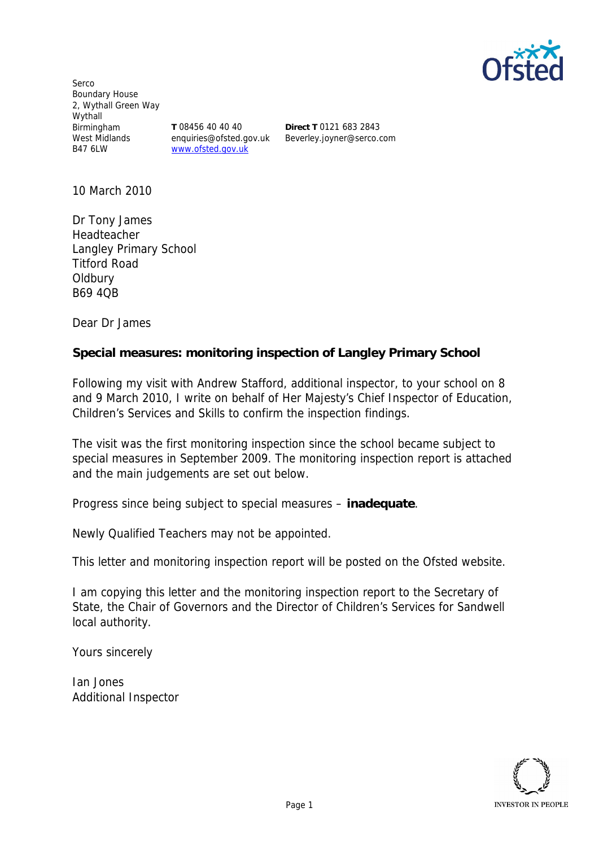

Serco Boundary House 2, Wythall Green Way Wythall Birmingham West Midlands B47 6LW

**T** 08456 40 40 40 enquiries@ofsted.gov.uk www.ofsted.gov.uk

**Direct T** 0121 683 2843 Beverley.joyner@serco.com

10 March 2010

Dr Tony James Headteacher Langley Primary School Titford Road Oldbury B69 4QB

Dear Dr James

**Special measures: monitoring inspection of Langley Primary School**

Following my visit with Andrew Stafford, additional inspector, to your school on 8 and 9 March 2010, I write on behalf of Her Majesty's Chief Inspector of Education, Children's Services and Skills to confirm the inspection findings.

The visit was the first monitoring inspection since the school became subject to special measures in September 2009. The monitoring inspection report is attached and the main judgements are set out below.

Progress since being subject to special measures – **inadequate**.

Newly Qualified Teachers may not be appointed.

This letter and monitoring inspection report will be posted on the Ofsted website.

I am copying this letter and the monitoring inspection report to the Secretary of State, the Chair of Governors and the Director of Children's Services for Sandwell local authority.

Yours sincerely

Ian Jones Additional Inspector

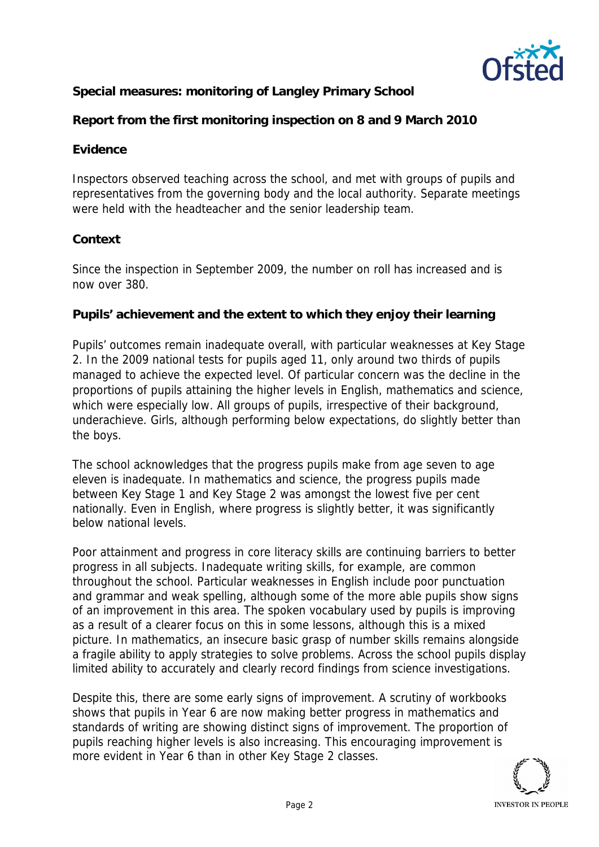

**Special measures: monitoring of Langley Primary School**

**Report from the first monitoring inspection on 8 and 9 March 2010**

# **Evidence**

Inspectors observed teaching across the school, and met with groups of pupils and representatives from the governing body and the local authority. Separate meetings were held with the headteacher and the senior leadership team.

## **Context**

Since the inspection in September 2009, the number on roll has increased and is now over 380.

**Pupils' achievement and the extent to which they enjoy their learning**

Pupils' outcomes remain inadequate overall, with particular weaknesses at Key Stage 2. In the 2009 national tests for pupils aged 11, only around two thirds of pupils managed to achieve the expected level. Of particular concern was the decline in the proportions of pupils attaining the higher levels in English, mathematics and science, which were especially low. All groups of pupils, irrespective of their background, underachieve. Girls, although performing below expectations, do slightly better than the boys.

The school acknowledges that the progress pupils make from age seven to age eleven is inadequate. In mathematics and science, the progress pupils made between Key Stage 1 and Key Stage 2 was amongst the lowest five per cent nationally. Even in English, where progress is slightly better, it was significantly below national levels.

Poor attainment and progress in core literacy skills are continuing barriers to better progress in all subjects. Inadequate writing skills, for example, are common throughout the school. Particular weaknesses in English include poor punctuation and grammar and weak spelling, although some of the more able pupils show signs of an improvement in this area. The spoken vocabulary used by pupils is improving as a result of a clearer focus on this in some lessons, although this is a mixed picture. In mathematics, an insecure basic grasp of number skills remains alongside a fragile ability to apply strategies to solve problems. Across the school pupils display limited ability to accurately and clearly record findings from science investigations.

Despite this, there are some early signs of improvement. A scrutiny of workbooks shows that pupils in Year 6 are now making better progress in mathematics and standards of writing are showing distinct signs of improvement. The proportion of pupils reaching higher levels is also increasing. This encouraging improvement is more evident in Year 6 than in other Key Stage 2 classes.

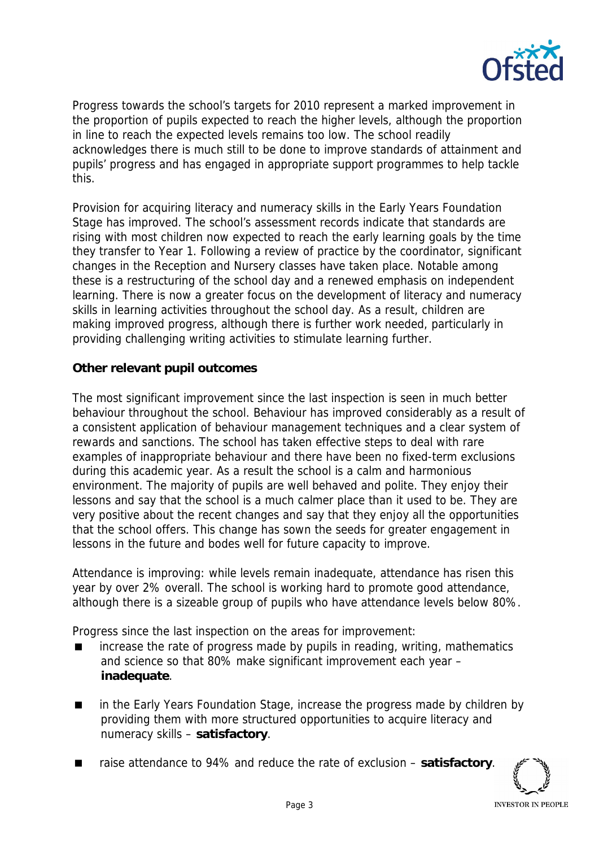

Progress towards the school's targets for 2010 represent a marked improvement in the proportion of pupils expected to reach the higher levels, although the proportion in line to reach the expected levels remains too low. The school readily acknowledges there is much still to be done to improve standards of attainment and pupils' progress and has engaged in appropriate support programmes to help tackle this.

Provision for acquiring literacy and numeracy skills in the Early Years Foundation Stage has improved. The school's assessment records indicate that standards are rising with most children now expected to reach the early learning goals by the time they transfer to Year 1. Following a review of practice by the coordinator, significant changes in the Reception and Nursery classes have taken place. Notable among these is a restructuring of the school day and a renewed emphasis on independent learning. There is now a greater focus on the development of literacy and numeracy skills in learning activities throughout the school day. As a result, children are making improved progress, although there is further work needed, particularly in providing challenging writing activities to stimulate learning further.

**Other relevant pupil outcomes**

The most significant improvement since the last inspection is seen in much better behaviour throughout the school. Behaviour has improved considerably as a result of a consistent application of behaviour management techniques and a clear system of rewards and sanctions. The school has taken effective steps to deal with rare examples of inappropriate behaviour and there have been no fixed-term exclusions during this academic year. As a result the school is a calm and harmonious environment. The majority of pupils are well behaved and polite. They enjoy their lessons and say that the school is a much calmer place than it used to be. They are very positive about the recent changes and say that they enjoy all the opportunities that the school offers. This change has sown the seeds for greater engagement in lessons in the future and bodes well for future capacity to improve.

Attendance is improving: while levels remain inadequate, attendance has risen this year by over 2% overall. The school is working hard to promote good attendance, although there is a sizeable group of pupils who have attendance levels below 80%.

Progress since the last inspection on the areas for improvement:

- increase the rate of progress made by pupils in reading, writing, mathematics and science so that 80% make significant improvement each year – **inadequate**.
- in the Early Years Foundation Stage, increase the progress made by children by providing them with more structured opportunities to acquire literacy and numeracy skills – **satisfactory**.
- raise attendance to 94% and reduce the rate of exclusion satisfactory.

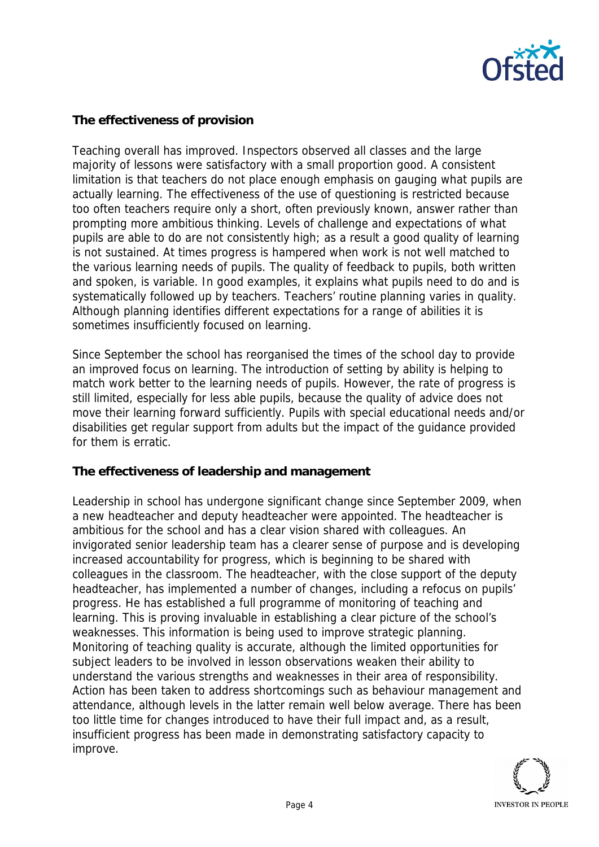

## **The effectiveness of provision**

Teaching overall has improved. Inspectors observed all classes and the large majority of lessons were satisfactory with a small proportion good. A consistent limitation is that teachers do not place enough emphasis on gauging what pupils are actually learning. The effectiveness of the use of questioning is restricted because too often teachers require only a short, often previously known, answer rather than prompting more ambitious thinking. Levels of challenge and expectations of what pupils are able to do are not consistently high; as a result a good quality of learning is not sustained. At times progress is hampered when work is not well matched to the various learning needs of pupils. The quality of feedback to pupils, both written and spoken, is variable. In good examples, it explains what pupils need to do and is systematically followed up by teachers. Teachers' routine planning varies in quality. Although planning identifies different expectations for a range of abilities it is sometimes insufficiently focused on learning.

Since September the school has reorganised the times of the school day to provide an improved focus on learning. The introduction of setting by ability is helping to match work better to the learning needs of pupils. However, the rate of progress is still limited, especially for less able pupils, because the quality of advice does not move their learning forward sufficiently. Pupils with special educational needs and/or disabilities get regular support from adults but the impact of the guidance provided for them is erratic.

### **The effectiveness of leadership and management**

Leadership in school has undergone significant change since September 2009, when a new headteacher and deputy headteacher were appointed. The headteacher is ambitious for the school and has a clear vision shared with colleagues. An invigorated senior leadership team has a clearer sense of purpose and is developing increased accountability for progress, which is beginning to be shared with colleagues in the classroom. The headteacher, with the close support of the deputy headteacher, has implemented a number of changes, including a refocus on pupils' progress. He has established a full programme of monitoring of teaching and learning. This is proving invaluable in establishing a clear picture of the school's weaknesses. This information is being used to improve strategic planning. Monitoring of teaching quality is accurate, although the limited opportunities for subject leaders to be involved in lesson observations weaken their ability to understand the various strengths and weaknesses in their area of responsibility. Action has been taken to address shortcomings such as behaviour management and attendance, although levels in the latter remain well below average. There has been too little time for changes introduced to have their full impact and, as a result, insufficient progress has been made in demonstrating satisfactory capacity to improve.